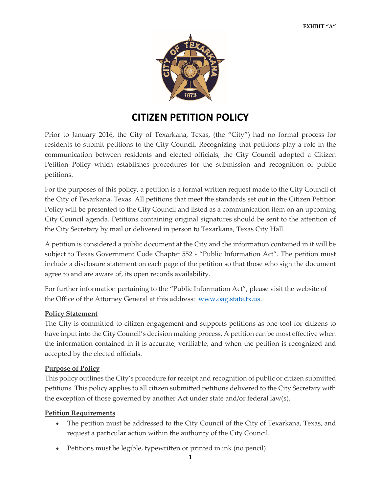

# **CITIZEN PETITION POLICY**

Prior to January 2016, the City of Texarkana, Texas, (the "City") had no formal process for residents to submit petitions to the City Council. Recognizing that petitions play a role in the communication between residents and elected officials, the City Council adopted a Citizen Petition Policy which establishes procedures for the submission and recognition of public petitions.

For the purposes of this policy, a petition is a formal written request made to the City Council of the City of Texarkana, Texas. All petitions that meet the standards set out in the Citizen Petition Policy will be presented to the City Council and listed as a communication item on an upcoming City Council agenda. Petitions containing original signatures should be sent to the attention of the City Secretary by mail or delivered in person to Texarkana, Texas City Hall.

A petition is considered a public document at the City and the information contained in it will be subject to Texas Government Code Chapter 552 - "Public Information Act". The petition must include a disclosure statement on each page of the petition so that those who sign the document agree to and are aware of, its open records availability.

For further information pertaining to the "Public Information Act", please visit the website of the Office of the Attorney General at this address: [www.oag.state.tx.us.](http://www.oag.state.tx.us/)

## **Policy Statement**

The City is committed to citizen engagement and supports petitions as one tool for citizens to have input into the City Council's decision making process. A petition can be most effective when the information contained in it is accurate, verifiable, and when the petition is recognized and accepted by the elected officials.

## **Purpose of Policy**

This policy outlines the City's procedure for receipt and recognition of public or citizen submitted petitions. This policy applies to all citizen submitted petitions delivered to the City Secretary with the exception of those governed by another Act under state and/or federal law(s).

## **Petition Requirements**

- The petition must be addressed to the City Council of the City of Texarkana, Texas, and request a particular action within the authority of the City Council.
- Petitions must be legible, typewritten or printed in ink (no pencil).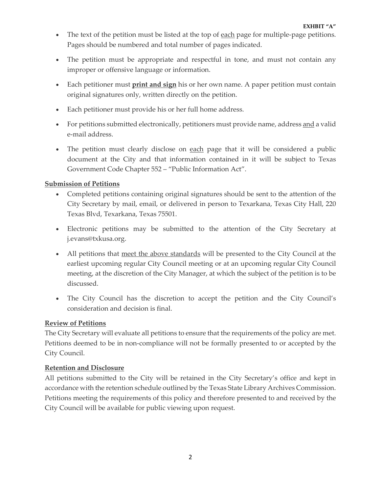- The text of the petition must be listed at the top of each page for multiple-page petitions. Pages should be numbered and total number of pages indicated.
- The petition must be appropriate and respectful in tone, and must not contain any improper or offensive language or information.
- Each petitioner must **print and sign** his or her own name. A paper petition must contain original signatures only, written directly on the petition.
- Each petitioner must provide his or her full home address.
- For petitions submitted electronically, petitioners must provide name, address and a valid e-mail address.
- The petition must clearly disclose on each page that it will be considered a public document at the City and that information contained in it will be subject to Texas Government Code Chapter 552 – "Public Information Act".

## **Submission of Petitions**

- Completed petitions containing original signatures should be sent to the attention of the City Secretary by mail, email, or delivered in person to Texarkana, Texas City Hall, 220 Texas Blvd, Texarkana, Texas 75501.
- Electronic petitions may be submitted to the attention of the City Secretary at j.evans@txkusa.org.
- All petitions that meet the above standards will be presented to the City Council at the earliest upcoming regular City Council meeting or at an upcoming regular City Council meeting, at the discretion of the City Manager, at which the subject of the petition is to be discussed.
- The City Council has the discretion to accept the petition and the City Council's consideration and decision is final.

## **Review of Petitions**

The City Secretary will evaluate all petitions to ensure that the requirements of the policy are met. Petitions deemed to be in non-compliance will not be formally presented to or accepted by the City Council.

## **Retention and Disclosure**

All petitions submitted to the City will be retained in the City Secretary's office and kept in accordance with the retention schedule outlined by the Texas State Library Archives Commission. Petitions meeting the requirements of this policy and therefore presented to and received by the City Council will be available for public viewing upon request.